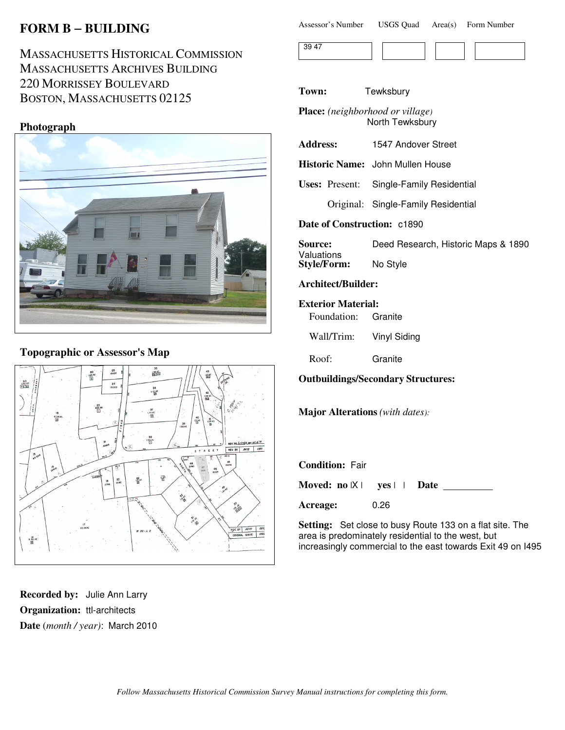# **FORM B** − **BUILDING**

# MASSACHUSETTS HISTORICAL COMMISSION MASSACHUSETTS ARCHIVES BUILDING 220 MORRISSEY BOULEVARD BOSTON, MASSACHUSETTS 02125

## **Photograph**



# **Topographic or Assessor's Map**



**Recorded by:** Julie Ann Larry **Organization:** ttl-architects **Date** (*month / year)*: March 2010

| Assessor's Number | <b>USGS Quad</b> | Area(s) | Form Number |
|-------------------|------------------|---------|-------------|
|-------------------|------------------|---------|-------------|

| $\overline{\phantom{0}}$ |  |  |  |
|--------------------------|--|--|--|

#### **Town:** Tewksbury

**Place:** *(neighborhood or village)* North Tewksbury

| <b>Address:</b> | 1547 Andover Street |
|-----------------|---------------------|
|                 |                     |

**Historic Name:** John Mullen House

**Uses:** Present: Single-Family Residential

Original: Single-Family Residential

**Date of Construction:** c1890

| <b>Source:</b>     | Deed Research, Historic Maps & 1890 |
|--------------------|-------------------------------------|
| Valuations         |                                     |
| <b>Style/Form:</b> | No Style                            |

## **Architect/Builder:**

**Exterior Material:**

Foundation: Granite

Wall/Trim: Vinyl Siding

Roof: Granite

#### **Outbuildings/Secondary Structures:**

**Major Alterations** *(with dates):*

**Condition:** Fair

**Moved: no** |X | **yes** | | **Date**

**Acreage:** 0.26

**Setting:** Set close to busy Route 133 on a flat site. The area is predominately residential to the west, but increasingly commercial to the east towards Exit 49 on I495